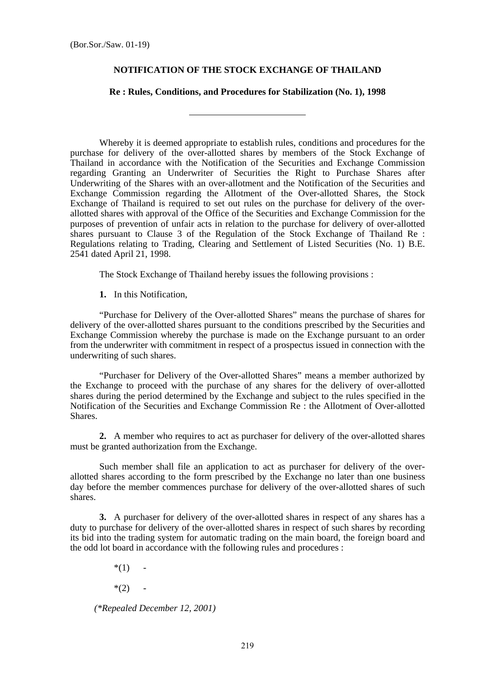#### **NOTIFICATION OF THE STOCK EXCHANGE OF THAILAND**

#### **Re : Rules, Conditions, and Procedures for Stabilization (No. 1), 1998**

l

 Whereby it is deemed appropriate to establish rules, conditions and procedures for the purchase for delivery of the over-allotted shares by members of the Stock Exchange of Thailand in accordance with the Notification of the Securities and Exchange Commission regarding Granting an Underwriter of Securities the Right to Purchase Shares after Underwriting of the Shares with an over-allotment and the Notification of the Securities and Exchange Commission regarding the Allotment of the Over-allotted Shares, the Stock Exchange of Thailand is required to set out rules on the purchase for delivery of the overallotted shares with approval of the Office of the Securities and Exchange Commission for the purposes of prevention of unfair acts in relation to the purchase for delivery of over-allotted shares pursuant to Clause 3 of the Regulation of the Stock Exchange of Thailand Re : Regulations relating to Trading, Clearing and Settlement of Listed Securities (No. 1) B.E. 2541 dated April 21, 1998.

The Stock Exchange of Thailand hereby issues the following provisions :

**1.** In this Notification,

 "Purchase for Delivery of the Over-allotted Shares" means the purchase of shares for delivery of the over-allotted shares pursuant to the conditions prescribed by the Securities and Exchange Commission whereby the purchase is made on the Exchange pursuant to an order from the underwriter with commitment in respect of a prospectus issued in connection with the underwriting of such shares.

 "Purchaser for Delivery of the Over-allotted Shares" means a member authorized by the Exchange to proceed with the purchase of any shares for the delivery of over-allotted shares during the period determined by the Exchange and subject to the rules specified in the Notification of the Securities and Exchange Commission Re : the Allotment of Over-allotted Shares.

**2.** A member who requires to act as purchaser for delivery of the over-allotted shares must be granted authorization from the Exchange.

 Such member shall file an application to act as purchaser for delivery of the overallotted shares according to the form prescribed by the Exchange no later than one business day before the member commences purchase for delivery of the over-allotted shares of such shares.

**3.** A purchaser for delivery of the over-allotted shares in respect of any shares has a duty to purchase for delivery of the over-allotted shares in respect of such shares by recording its bid into the trading system for automatic trading on the main board, the foreign board and the odd lot board in accordance with the following rules and procedures :

 $*(1)$ 

 $*(2) -$ 

 *(\*Repealed December 12, 2001)*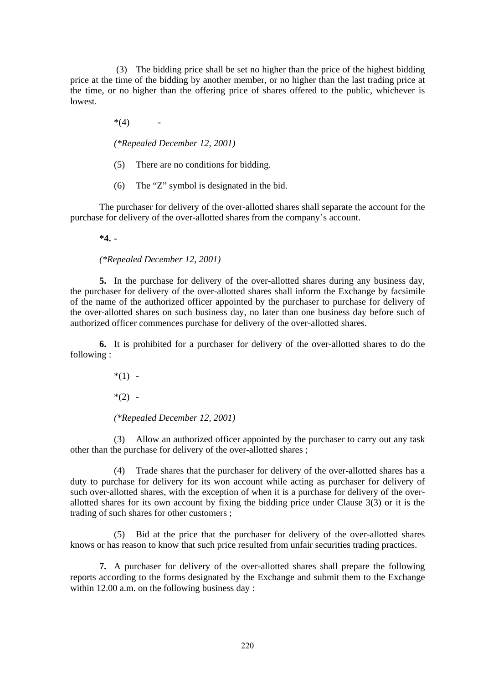(3) The bidding price shall be set no higher than the price of the highest bidding price at the time of the bidding by another member, or no higher than the last trading price at the time, or no higher than the offering price of shares offered to the public, whichever is lowest.

 $*(4)$ 

 *(\*Repealed December 12, 2001)* 

- (5) There are no conditions for bidding.
- (6) The "Z" symbol is designated in the bid.

 The purchaser for delivery of the over-allotted shares shall separate the account for the purchase for delivery of the over-allotted shares from the company's account.

 **\*4.** -

 *(\*Repealed December 12, 2001)* 

**5.** In the purchase for delivery of the over-allotted shares during any business day, the purchaser for delivery of the over-allotted shares shall inform the Exchange by facsimile of the name of the authorized officer appointed by the purchaser to purchase for delivery of the over-allotted shares on such business day, no later than one business day before such of authorized officer commences purchase for delivery of the over-allotted shares.

**6.** It is prohibited for a purchaser for delivery of the over-allotted shares to do the following :

 $*(1)$  -

 $*(2) -$ 

 *(\*Repealed December 12, 2001)* 

 (3) Allow an authorized officer appointed by the purchaser to carry out any task other than the purchase for delivery of the over-allotted shares ;

(4) Trade shares that the purchaser for delivery of the over-allotted shares has a duty to purchase for delivery for its won account while acting as purchaser for delivery of such over-allotted shares, with the exception of when it is a purchase for delivery of the overallotted shares for its own account by fixing the bidding price under Clause 3(3) or it is the trading of such shares for other customers ;

 (5) Bid at the price that the purchaser for delivery of the over-allotted shares knows or has reason to know that such price resulted from unfair securities trading practices.

**7.** A purchaser for delivery of the over-allotted shares shall prepare the following reports according to the forms designated by the Exchange and submit them to the Exchange within 12.00 a.m. on the following business day: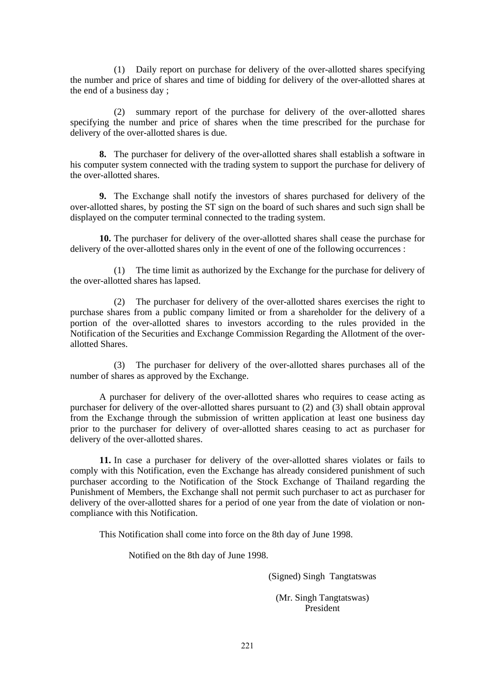(1) Daily report on purchase for delivery of the over-allotted shares specifying the number and price of shares and time of bidding for delivery of the over-allotted shares at the end of a business day ;

 (2) summary report of the purchase for delivery of the over-allotted shares specifying the number and price of shares when the time prescribed for the purchase for delivery of the over-allotted shares is due.

**8.** The purchaser for delivery of the over-allotted shares shall establish a software in his computer system connected with the trading system to support the purchase for delivery of the over-allotted shares.

**9.** The Exchange shall notify the investors of shares purchased for delivery of the over-allotted shares, by posting the ST sign on the board of such shares and such sign shall be displayed on the computer terminal connected to the trading system.

**10.** The purchaser for delivery of the over-allotted shares shall cease the purchase for delivery of the over-allotted shares only in the event of one of the following occurrences :

 (1) The time limit as authorized by the Exchange for the purchase for delivery of the over-allotted shares has lapsed.

 (2) The purchaser for delivery of the over-allotted shares exercises the right to purchase shares from a public company limited or from a shareholder for the delivery of a portion of the over-allotted shares to investors according to the rules provided in the Notification of the Securities and Exchange Commission Regarding the Allotment of the overallotted Shares.

 (3) The purchaser for delivery of the over-allotted shares purchases all of the number of shares as approved by the Exchange.

 A purchaser for delivery of the over-allotted shares who requires to cease acting as purchaser for delivery of the over-allotted shares pursuant to (2) and (3) shall obtain approval from the Exchange through the submission of written application at least one business day prior to the purchaser for delivery of over-allotted shares ceasing to act as purchaser for delivery of the over-allotted shares.

**11.** In case a purchaser for delivery of the over-allotted shares violates or fails to comply with this Notification, even the Exchange has already considered punishment of such purchaser according to the Notification of the Stock Exchange of Thailand regarding the Punishment of Members, the Exchange shall not permit such purchaser to act as purchaser for delivery of the over-allotted shares for a period of one year from the date of violation or noncompliance with this Notification.

This Notification shall come into force on the 8th day of June 1998.

Notified on the 8th day of June 1998.

(Signed) Singh Tangtatswas

(Mr. Singh Tangtatswas) President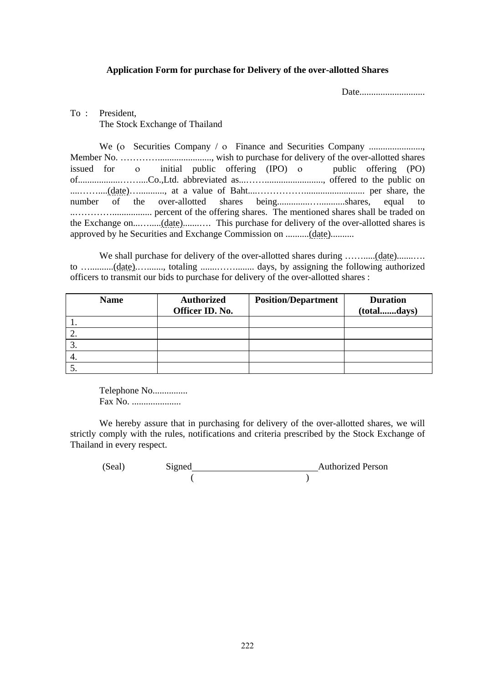### **Application Form for purchase for Delivery of the over-allotted Shares**

Date............................

# To : President, The Stock Exchange of Thailand

 We (ο Securities Company / ο Finance and Securities Company ......................., Member No. …………......................., wish to purchase for delivery of the over-allotted shares issued for ο initial public offering (IPO) ο public offering (PO) of..................……....Co.,Ltd. abbreviated as...……........................., offered to the public on ....……....(date)…..........., at a value of Baht....…………….......................... per share, the number of the over-allotted shares being..............…...........shares, equal to ..…………................. percent of the offering shares. The mentioned shares shall be traded on the Exchange on...….....(date).......…. This purchase for delivery of the over-allotted shares is approved by he Securities and Exchange Commission on ..........(date)..........

We shall purchase for delivery of the over-allotted shares during ...............(date)........... to …..........(date).…......., totaling .......……........ days, by assigning the following authorized officers to transmit our bids to purchase for delivery of the over-allotted shares :

| <b>Name</b> | <b>Authorized</b><br>Officer ID. No. | <b>Position/Department</b> | <b>Duration</b><br>(totaldays) |
|-------------|--------------------------------------|----------------------------|--------------------------------|
|             |                                      |                            |                                |
|             |                                      |                            |                                |
| J.          |                                      |                            |                                |
| 4.          |                                      |                            |                                |
|             |                                      |                            |                                |

 Telephone No............... Fax No. .....................

 We hereby assure that in purchasing for delivery of the over-allotted shares, we will strictly comply with the rules, notifications and criteria prescribed by the Stock Exchange of Thailand in every respect.

(Seal) Signed Authorized Person  $($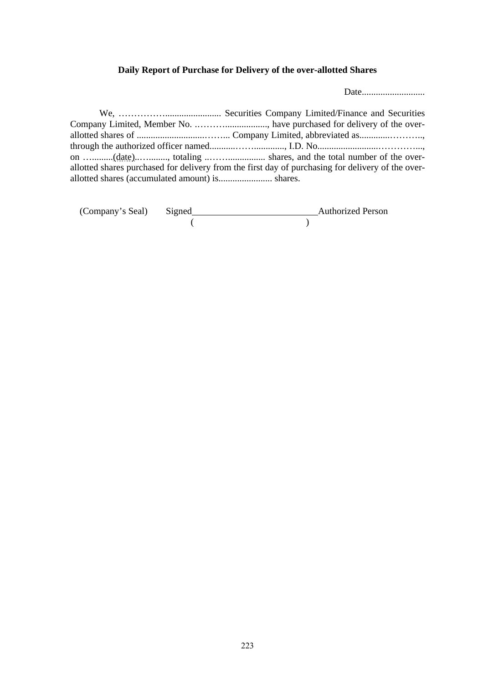# **Daily Report of Purchase for Delivery of the over-allotted Shares**

Date...........................

|                                                 | on (date), totaling  shares, and the total number of the over-                                    |
|-------------------------------------------------|---------------------------------------------------------------------------------------------------|
|                                                 | allotted shares purchased for delivery from the first day of purchasing for delivery of the over- |
| allotted shares (accumulated amount) is shares. |                                                                                                   |

| (Company's Seal) Signed |  | <b>Authorized Person</b> |
|-------------------------|--|--------------------------|
|                         |  |                          |